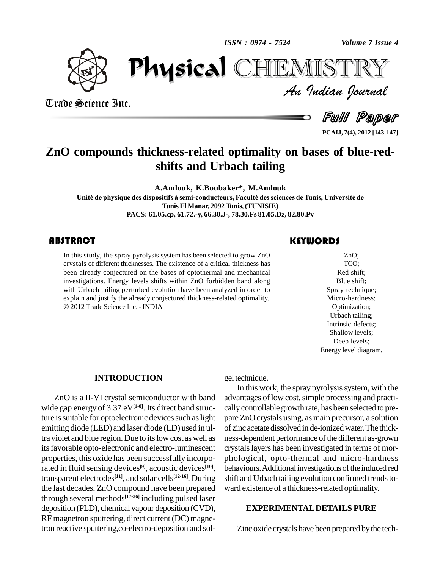*ISSN : 0974 - 7524*

*Volume 7 Issue 4*



Trade Science Inc.

Trade Science Inc.

*Volume 7 Issue 4*<br>IISTRY<br>Indian Iournal PhysicalIEMISTR

Full Paper

**PCAIJ, 7(4), 2012 [143-147]**

## **ZnO compounds thickness-related optimality on bases of blue-red shifts and Urbach tailing**

**A.Amlouk, K.Boubaker\*, M.Amlouk Unit<sup>È</sup> de physique des dispositifs ‡ semi-conducteurs, FacultÈ dessciences deTunis, UniversitÈ de TunisEl Manar, 2092Tunis, (TUNISIE) PACS: 61.05.cp, 61.72.-y, 66.30.J-, 78.30.Fs 81.05.Dz, 82.80.Pv**

## **ABSTRACT**

In this study, the spray<br>crystals of different thick<br>been already conjecture In this study, the spray pyrolysis system has been selected to grow ZnO crystals of different thicknesses. The existence of a critical thickness has been already conjectured on the bases of optothermal and mechanical investigations. Energy levels shifts within ZnO forbidden band along with Urbach tailing perturbed evolution have been analyzed in order to explain and justify the already conjectured thickness-related optimality. 2012Trade Science Inc. - INDIA

### **KEYWORDS**

ZnO;<br>TCO;<br>Red shift; ZnO; TCO; Red shift; Blue shift; Spray technique; Micro-hardness; Optimization; Urbach tailing; Intrinsic defects; Shallow levels; Deep levels; Energy level diagram.

#### **INTRODUCTION**

ZnO is a II-VI crystal semiconductor with band wide gap energy of 3.37 eV<sup>[1-8]</sup>. Its direct band structure is suitable for optoelectronic devices such as light emitting diode (LED) and laser diode (LD) used in ultra violet and blue region. Due to itslow cost as well as its favorable opto-electronic and electro-luminescent properties, this oxide has been successfully incorporated in fluid sensing devices<sup>[9]</sup>, acoustic devices<sup>[10]</sup>, be transparent electrodes **[11]**, and solar cells **[12-16]**. During the last decades, ZnO compound have been prepared through several methods **[17-26]** including pulsed laser deposition (PLD), chemical vapour deposition (CVD), RF magnetron sputtering, direct current (DC) magnetron reactive sputtering,co-electro-deposition and sol-

gel technique.

In this work, the spray pyrolysis system, with the advantages of low cost, simple processing and practically controllable growth rate, has been selected to prepare ZnO crystals using, as main precursor, a solution of zinc acetate dissolved in de-ionizedwater.The thick ness-dependent performance of the different as-grown crystalslayers has been investigated in terms of mor phological, opto-thermal and micro-hardness behaviours. Additional investigations of the induced red shift and Urbach tailing evolution confirmed trends toward existence of a thickness-related optimality.

#### **EXPERIMENTALDETAILS PURE**

Zinc oxide crystals have been prepared bythe tech-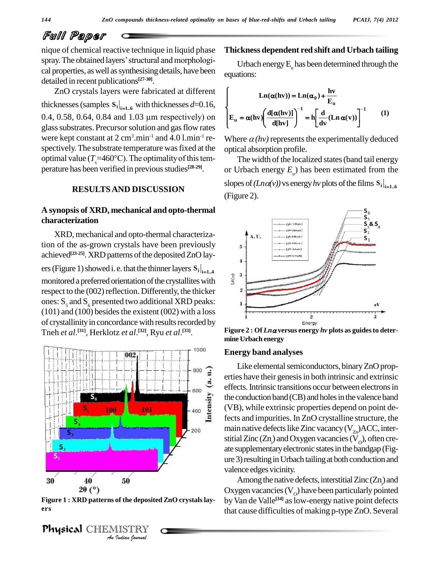# Full Paper

nique of chemical reactive technique in liquid phase Thick  $\Box$ <br>nique of chemical reactive technique in liquid phase This<br>pray. The obtained layers' structural and morphological properties, as well as synthesising details, have been detailed in recent publications **[27-30]**.

ZnO crystals layers were fabricated at different Eno crystals layers were radicated at different<br>thicknesses (samples  $S_i|_{i=1..6}$  with thicknesses *d*=0.16,<br>0.4, 0.58, 0.64, 0.84 and 1.03 µm respectively) on  $E_u = 0$ glass substrates. Precursor solution and gas flow rates were kept constant at  $2 \text{ cm}^3 \text{.} \text{min}^{-1}$  and  $4.0 \text{.} \text{.} \text{min}^{-1}$  re- Wh spectively. The substrate temperature was fixed at the optimal value ( $T_s$ =460°C). The optimality of this temperature has been verified in previous studies<sup>[28-29]</sup>.

## **RESULTSAND DISCUSSION**

## **A synopsis of XRD, mechanical and opto-thermal characterization**

XRD, mechanical and opto-thermal characterization of the as-grown crystals have been previously achieved<sup>[23-25]</sup>. XRD patterns of the deposited ZnO layers (Figure 1) showed i. e. that the thinner layers  $S_i|_{i=1..4}$ <br>monitored a preferred orientation of the crystallites with monitored a preferred orientation of the crystallites with respect to the (002) reflection. Differently, the thicker ones:  $S_5$  and  $S_6$  presented two additional XRD peaks:  $(101)$  and  $(100)$  besides the existent  $(002)$  with a loss of crystallinity in concordance with results recorded by Tneh *et al*. **[31]**, Herklotz *et al*. **[32]**, Ryu *et al*. **[33]**.



**Figure 1 : XRD patterns of the deposited ZnO crystalslay ers**

Physical CHEMISTRY

### **Thickness dependent red shift and Urbach tailing**

Urbach energy  $E_{\mu}$  has been determined through the equations:

Equations.  
\n
$$
\left\{\n\begin{aligned}\n\text{Ln}(\alpha(hv)) &= \text{Ln}(\alpha_0) + \frac{hv}{E_u} \\
E_u &= \alpha(hv) \left(\frac{d[\alpha(hv)]}{d[hv]}\right)^{-1} = h \left[\frac{d}{dv}(\text{Ln}\,\alpha(v))\right]^{-1}\n\end{aligned}\n\right\} (1)
$$

Where  $\alpha$ (hv) represents the experimentally deduced optical absorption profile.

The width of the localized states (band tail energy or Urbach energy  $E_{\mu}$ ) has been estimated from the slopes of  $(Ln\alpha(v))$  vs energy *hv* plots of the films  $S_i|_{i=1.6}$ (Figure 2).



**Figure** 2 : Of  $Ln \alpha$  versus energy  $hv$  plots as guides to deter**mine Urbach energy**

#### **Energy band analyses**

Like elemental semiconductors, binary ZnO properties have their genesis in both intrinsic and extrinsic effects. Intrinsic transitions occur between electrons in the conduction band (CB) and holes in the valence band (VB), while extrinsic properties depend on point defects and impurities. In ZnO crystalline structure, the main native defects like Zinc vacancy (V<sub>zn</sub>)ACC, intersitial Zinc (Zn<sub>1</sub>) and Oxygen vacancies (V<sub>0</sub>), often create supplementaryelectronic statesin the bandgap (Fig ure 3) resulting in Urbach tailing at both conduction and valence edges vicinity.

Among the native defects, interstitial  $Zinc(Zn)$  and Oxygen vacancies ( $V_o$ ) have been particularly pointed by Van de Valle<sup>[34]</sup> as low-energy native point defects that cause difficulties of making p-type ZnO. Several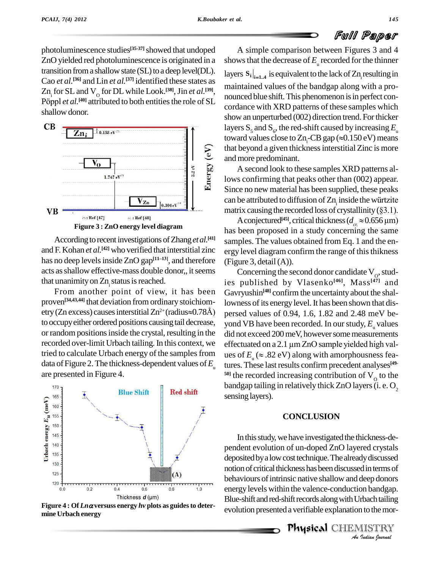photoluminescence studies<sup>[35-37]</sup> showed that undoped  $\overline{A}$  s ZnO yielded red photoluminescence is originated in a transition from a shallow state (SL) to a deep level(DL). Cao *et al.*<sup>[36]</sup> and Lin *et al.*<sup>[37]</sup> identified these states as  $Zn_i$  for SL and  $V_o$  for DL while Look.<sup>[38]</sup>, Jin *et al.*<sup>[39]</sup>,  $\frac{100}{100}$ Cao *et al.*<sup>[36]</sup> and<br>Zn<sub>;</sub> for SL and V<br>Pöppl *et al.*<sup>[40]</sup> at Pöppl et al.<sup>[40]</sup> attributed to both entities the role of SL shallow donor.



According to recent investigations of Zhang et al.<sup>[41]</sup> s and F. Kohan *et al.* **[42]** who verified that interstitial zinc and F. Kohan *et al.*<sup>[42]</sup> who verified that interstitial zinc ergy long has no deep levels inside ZnO gap<sup>[11-13]</sup>, and therefore (Figure acts as shallow effective-mass double donor,, it seems that unanimity on  $Zn_i$  status is reached. it has been  $G_{\text{avryt}}$ <br>From another point of view, it has been  $G_{\text{avryt}}$ 

proven<sup>[34,43,44]</sup> that deviation from ordinary stoichiom-  $_{\text{low}}$ etry (Zn excess) causes interstitial  $Zn^{2+}$  (radius $\approx 0.78$ Å) w, it has been Gavenlinary stoichiom-<br><sup>2+</sup> (radius $\approx$  0.78Å) pers to occupy either ordered positions causing tail decrease, or random positions inside the crystal, resulting in the recorded over-limit Urbach tailing. In this context, we tried to calculate Urbach energy of the samples from data of Figure 2. The thickness-dependent values of  $E_u$  are presented in Figure 4.



Figure  $4:OfLn\alpha$  versuss energy hv plots as guides to deter-<br>wolution presented a verifiable explanation to the mormine Urbach energy

A simple comparison between Figures 3 and 4 shows that the decrease of  $E_{\mu}$  recorded for the thinner layers  $S_i|_{i=1,4}$  is equivalent to the lack of  $Zn_i$  resulting in maintained values of the bandgap along with a pro nounced blue shift. This phenomenon is in perfect concordance with XRD patterns of these samples which show an unperturbed (002) direction trend. For thicker layers  $\mathrm{S}_5$  and  $\mathrm{S}_6$ , the red-shift caused by increasing  $E_{_\mathrm{u}}$ show an unperturbed (002) direction trend. For thicker<br>layers  $S_5$  and  $S_6$ , the red-shift caused by increasing  $E_u$ <br>toward values close to Zn<sub>i</sub>-CB gap ( $\approx$ 0.150 eV) means that beyond a given thickness interstitial Zinc is more and more predominant.

A second look to these samples XRD patterns allows confirming that peaks other than (002) appear. Since no new material has been supplied, these peaks lows confirming that peaks other than (002) appear.<br>Since no new material has been supplied, these peaks<br>can be attributed to diffusion of Zn<sub>i</sub> inside the würtzite can be attributed to diffusion of  $Zn_i$  inside the würtzite matrix causing the recorded loss of crystallinity (§3.1). be attributed to diffusion of Zn<sub>i</sub> inside the würtzite<br>rix causing the recorded loss of crystallinity (§3.1).<br>A conjectured<sup>[45]</sup>, critical thickness ( $d_{cr} \approx 0.656 \,\mu\text{m}$ )

has been proposed in a study concerning the same samples. The values obtained from Eq. 1 and the en ergy level diagram confirm the range of this thikness (Figure 3, detail $(A)$ ).

Concerning the second donor candidate  $V_0$ , studies published by Vlasenko **[46]**, Mass **[47]** and Gavryushin **[48]** confirm the uncertainty about the shallowness of its energy level. It has been shown that dispersed values of 0.94, 1.6, 1.82 and 2.48 meV be yond VB have been recorded. In our study,  $E_{\rm u}$  values<br>did not exceed 200 meV, however some measurements<br>effectuated on a 2.1 µm ZnO sample yielded high valdid not exceed 200 meV, however some measurements effectuated on a 2.1  $\mu$ m ZnO sample yielded high values of  $E_{\mu} \approx .82 \text{ eV}$  along with amorphousness features. These last results confirm precedent analyses<sup>[49-</sup>  $50$ <sup>1</sup> the recorded increasing contribution of  $V<sub>o</sub>$  to the bandgap tailing in relatively thick ZnO layers (i. e.  $O<sub>2</sub>$ sensing layers).

#### **CONCLUSION**

behaviours of intrinsic native shallow and deep donors *Indep donors<br>Indianal paper*<br>*I*ndian *Iournal*<br>*Indian Journal* In this study, we have investigated the thickness-dependent evolution of un-doped ZnO layered crystals deposited by a low cost technique. The already discussed notion of critical thickness has been discussed in terms of energylevels within the valence-conduction bandgap. Blue-shift and red-shift records along with Urbach tailing

Physical CHEMISTRY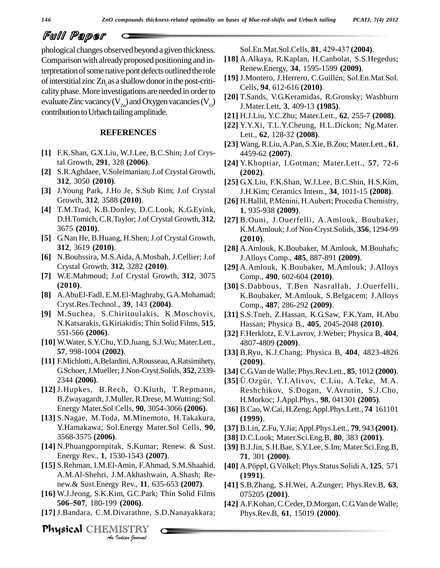# Full Paper

phological changes observed beyond a given thickness. Comparison with already proposed positioning and interpretation of some native pont defects outlined the role<br>
(19) J.Montero, J.Herrero, C.Guillén; Sol.En.Mat.Sol. of interstitial zinc  $Zn_i$  as a shallow donor in the post-criti-<br>cality phase. More investigations are needed in order to evaluate Zinc vacancy ( $V_{Zn}$ ) and Oxygen vacancies ( $V_{Q}$ ) contribution to Urbach tailing amplitude.

#### **REFERENCES**

- **[1]** F.K.Shan, G.X.Liu, W.J.Lee, B.C.Shin; J.of Crystal Growth, **291**, 328 **(2006)**.
- **[2]** S.R.Aghdaee, V.Soleimanian;J.of Crystal Growth, **312**, 3050 **(2010)**.
- **[3]** J.Young Park, J.Ho Je, S.Sub Kim; J.of Crystal Growth, **312**, 3588 **(2010)**.
- **[4]** T.M.Trad, K.B.Donley, D.C.Look, K.G.Eyink, D.H.Tomich,C.R.Taylor;J.of Crystal Growth, **312**, 3675 **(2010)**.
- **[5]** G.Nan He, B.Huang, H.Shen; J.of Crystal Growth, **312**, 3619 **(2010)**.
- **[6]** N.Bouhssira, M.S.Aida, A.Mosbah, J.Cellier; J.of Crystal Growth, **312**, 3282 **(2010)**.
- **[7]** W.E.Mahmoud; J.of Crystal Growth, **312**, 3075 **(2010)**.
- **[8]** A.AbuEl-Fadl, E.M.El-Maghraby, G.A.Mohamad; Cryst.Res.Technol., **39**, 143 **(2004)**.
- **[9]** M.Suchea, S.Chiritoulakis, K.Moschovis, N.Katsarakis, G.Kiriakidis; Thin Solid Films, **515**, 551-566 **(2006)**.
- **[10]** W.Water, S.Y.Chu,Y.D.Juang, S.J.Wu; Mater.Lett., **57**, 998-1004 **(2002)**.
- [11] F.Michlotti, A.Belardini, A.Rousseau, A.Ratsimihety, G.Schoer,J.Mueller;J.Non-Cryst.Solids, **352**, 2339- 2344 **(2006)**.
- **[12]** J.Hupkes, B.Rech, O.Kluth, T.Repmann, B.Zwayagardt,J.Muller, R.Drese, M.Wutting; Sol. Energy Mater.Sol Cells, **90**, 3054-3066 **(2006)**.
- **[13]** S.Nagae, M.Toda, M.Minemoto, H.Takakura, Y.Hamakawa; Sol.Energy Mater.Sol Cells, **90**, 3568-3575 **(2006)**.
- **[14]** N.Phuangpornpitak, S.Kumar; Renew. & Sust. Energy Rev., **1**, 1530-1543 **(2007)**.
- *An*A.M.Al-Shehri, J.M.Akhashwain, A.Shash; Re- **[15]** S.Rehman, I.M.El-Amin, F.Ahmad, S.M.Shaahid,
- *IM.Akhashwi*<br>y Rev., **11**, 6.<br>im, G.C.Park;<br>) (**2006**).<br>Divarathne, S.<br>IISTRY new.& Sust.Energy Rev., **11**, 635-653 **(2007)**. **<sup>506</sup>ñ507**, 180-199 **(2006)**. **[16]** W.J.Jeong, S.K.Kim, G.C.Park; Thin Solid Films
- **[17]** J.Bandara, C.M.Divarathne, S.D.Nanayakkara;

Physical CHEMISTRY

Sol.En.Mat.Sol.Cells, **<sup>81</sup>**, 429-437 **(2004)**.

- **[18]** A.Alkaya, R.Kaplan, H.Canbolat, S.S.Hegedus; **[19]** J.Montero, J.Herrero, C.GuillÈn; Sol.En.Mat.Sol. Renew.Energy, **34**, 1595-1599 **(2009)**.
- Cells, **94**, 612-616 **(2010)**.
- [20] T.Sands, V.G.Keramidas, R.Gronsky; Washburn **I. Motor Lett** 2, 400, 12 (1085) J.Mater.Lett, **3**, 409-13 **(1985)**.
	- **[21]** H.J.Liu, Y.C.Zhu; Mater.Lett., **62**, 255-7 **(2008)**.
	- **[22]** Y.Y.Xi, T.L.Y.Cheung, H.L.Dickon; Ng.Mater. Lett., **62**, 128-32 **(2008)**.
	- **[23]** Wang, R.Liu,A.Pan, S.Xie, B.Zou; Mater.Lett., **61**, 4459-62 **(2007)**.
	- **[24]** Y.Khoptiar, I.Gotman; Mater.Lett., **57**, 72-6 **(2002)**.
	- **[25]** G.X.Liu, F.K.Shan, W.J.Lee, B.C.Shin, H.S.Kim, J.H.Kim; Ceramics Intern., **34**, 1011-15 **(2008)**.
	- **[26]** H.Hallil, P.MÈnini, H.Aubert; Procedia Chemistry, **1**, 935-938 **(2009)**.
	- **[27]** B.Ouni, J.Ouerfelli, A.Amlouk, Boubaker, K.M.Amlouk;J.of Non-Cryst.Solids, **356**, 1294-99 **(2010)**.
	- **[28]** A.Amlouk, K.Boubaker, M.Amlouk, M.Bouhafs; J.Alloys Comp., **485**, 887-891 **(2009)**.
	- **[29]** A.Amlouk, K.Boubaker, M.Amlouk; J.Alloys Comp., **490**, 602-604 **(2010)**.
	- **[30]** S.Dabbous, T.Ben Nasrallah, J.Ouerfelli, K.Boubaker, M.Amlouk, S.Belgacem; J.Alloys Comp., **487**, 286-292 **(2009)**.
	- **[31]** S.S.Tneh, Z.Hassan, K.G.Saw, F.K.Yam, H.Abu Hassan; Physica B., **405**, 2045-2048 **(2010)**.
	- **[32]** F.Herklotz, E.V.Lavrov, J.Weber; Physica B, **404**, 4807-4809 **(2009)**.
	- **[33]** B.Ryu, K.J.Chang; Physica B, **404**, 4823-4826 **(2009)**. **(2009).**<br>**[34] C.G.Van de Walle; Phys.Rev.Lett., 85, 1012 (2000).**<br>**[35] Ü.Ozgür, Y.I.Alivov, C.Liu, A.Teke, M.A.**
	- **[34]** C.G.Van de Walle; Phys.Rev.Lett., **85**, 1012 **(2000)**.
	- Reshchikov, S.Dogan, V.Avrutin, S.J.Cho, H.Morkoc; J.Appl.Phys., **98**, 041301 **(2005)**.
	- **[36]** B.Cao,W.Cai, H.Zeng;Appl.Phys.Lett., **74** 161101 **(1999)**.
	- **[37]** B.Lin, Z.Fu, Y.Jia;Appl.Phys.Lett., **79**, 943 **(2001)**.
	- **[38]** D.C.Look; Mater.Sci.Eng.B, **80**, 383 **(2001)**.
	- **[39]** B.J.Jin, S.H.Bae, S.Y.Lee, S.Im; Mater.Sci.Eng.B, **71**, 301 **(2000)**.
	- **[40]** A.Pˆppl, G.Vˆlkel; Phys.Status Solidi A, **<sup>125</sup>**, <sup>571</sup> **(1991)**.
	- **[41]** S.B.Zhang, S.H.Wei, A.Zunger; Phys.Rev.B, **63**, 075205 **(2001)**.
	- **[42]** A.F.Kohan, C.Ceder, D.Morgan, C.G.Van deWalle; Phys.Rev.B, **61**, 15019 **(2000)**.